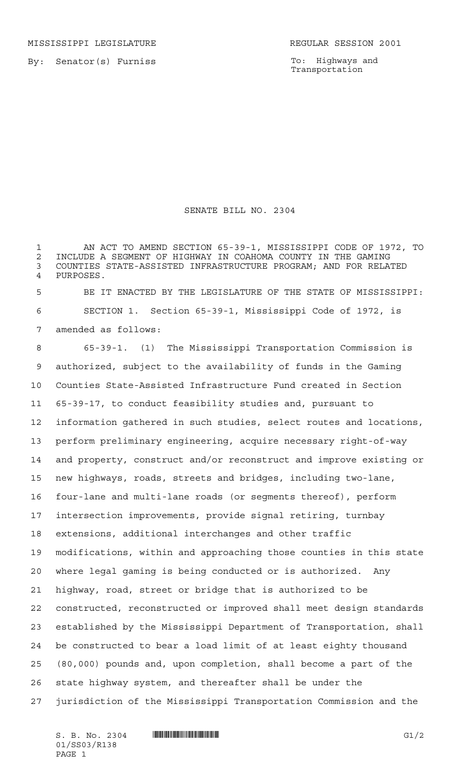MISSISSIPPI LEGISLATURE **REGULAR SESSION 2001** 

By: Senator(s) Furniss

To: Highways and Transportation

## SENATE BILL NO. 2304

 AN ACT TO AMEND SECTION 65-39-1, MISSISSIPPI CODE OF 1972, TO 2 INCLUDE A SEGMENT OF HIGHWAY IN COAHOMA COUNTY IN THE GAMING<br>3 COUNTIES STATE-ASSISTED INFRASTRUCTURE PROGRAM: AND FOR RELA' COUNTIES STATE-ASSISTED INFRASTRUCTURE PROGRAM; AND FOR RELATED PURPOSES.

 BE IT ENACTED BY THE LEGISLATURE OF THE STATE OF MISSISSIPPI: SECTION 1. Section 65-39-1, Mississippi Code of 1972, is amended as follows:

 65-39-1. (1) The Mississippi Transportation Commission is authorized, subject to the availability of funds in the Gaming Counties State-Assisted Infrastructure Fund created in Section 65-39-17, to conduct feasibility studies and, pursuant to information gathered in such studies, select routes and locations, perform preliminary engineering, acquire necessary right-of-way and property, construct and/or reconstruct and improve existing or new highways, roads, streets and bridges, including two-lane, four-lane and multi-lane roads (or segments thereof), perform intersection improvements, provide signal retiring, turnbay extensions, additional interchanges and other traffic modifications, within and approaching those counties in this state where legal gaming is being conducted or is authorized. Any highway, road, street or bridge that is authorized to be constructed, reconstructed or improved shall meet design standards established by the Mississippi Department of Transportation, shall be constructed to bear a load limit of at least eighty thousand (80,000) pounds and, upon completion, shall become a part of the state highway system, and thereafter shall be under the jurisdiction of the Mississippi Transportation Commission and the

 $S. B. No. 2304$   $\blacksquare$   $\blacksquare$   $\blacksquare$   $\blacksquare$   $\blacksquare$   $\blacksquare$   $\blacksquare$   $\blacksquare$   $\blacksquare$   $\blacksquare$   $\blacksquare$   $\blacksquare$   $\blacksquare$   $\blacksquare$   $\blacksquare$   $\blacksquare$   $\blacksquare$   $\blacksquare$   $\blacksquare$   $\blacksquare$   $\blacksquare$   $\blacksquare$   $\blacksquare$   $\blacksquare$   $\blacksquare$   $\blacksquare$   $\blacksquare$   $\blacksquare$   $\blacksquare$   $\blacks$ 01/SS03/R138 PAGE 1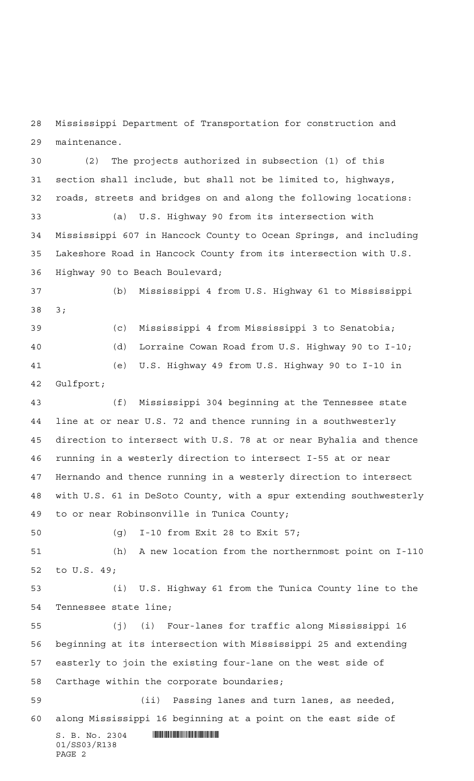Mississippi Department of Transportation for construction and maintenance.

 (2) The projects authorized in subsection (1) of this section shall include, but shall not be limited to, highways, roads, streets and bridges on and along the following locations: (a) U.S. Highway 90 from its intersection with Mississippi 607 in Hancock County to Ocean Springs, and including Lakeshore Road in Hancock County from its intersection with U.S. Highway 90 to Beach Boulevard; (b) Mississippi 4 from U.S. Highway 61 to Mississippi 3;

 (c) Mississippi 4 from Mississippi 3 to Senatobia; (d) Lorraine Cowan Road from U.S. Highway 90 to I-10; (e) U.S. Highway 49 from U.S. Highway 90 to I-10 in Gulfport;

 (f) Mississippi 304 beginning at the Tennessee state line at or near U.S. 72 and thence running in a southwesterly direction to intersect with U.S. 78 at or near Byhalia and thence running in a westerly direction to intersect I-55 at or near Hernando and thence running in a westerly direction to intersect with U.S. 61 in DeSoto County, with a spur extending southwesterly to or near Robinsonville in Tunica County;

(g) I-10 from Exit 28 to Exit 57;

 (h) A new location from the northernmost point on I-110 to U.S. 49;

 (i) U.S. Highway 61 from the Tunica County line to the Tennessee state line;

 (j) (i) Four-lanes for traffic along Mississippi 16 beginning at its intersection with Mississippi 25 and extending easterly to join the existing four-lane on the west side of Carthage within the corporate boundaries;

 (ii) Passing lanes and turn lanes, as needed, along Mississippi 16 beginning at a point on the east side of

 $S. B. No. 2304$  . The set of the set of  $S. B. NO. 2304$ 01/SS03/R138 PAGE 2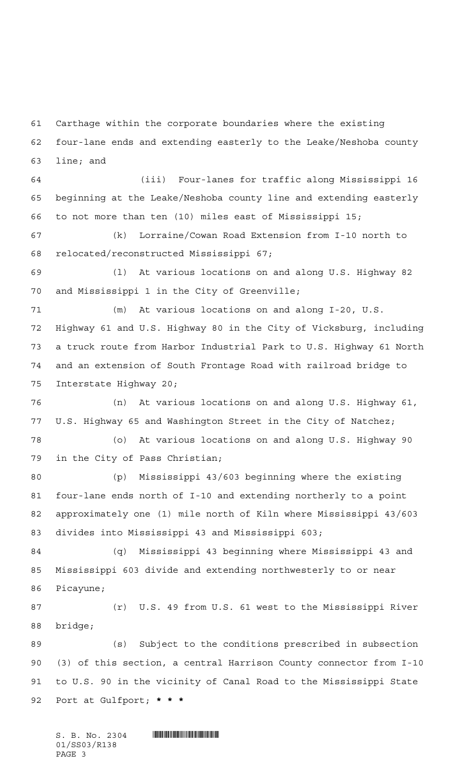Carthage within the corporate boundaries where the existing four-lane ends and extending easterly to the Leake/Neshoba county line; and

 (iii) Four-lanes for traffic along Mississippi 16 beginning at the Leake/Neshoba county line and extending easterly to not more than ten (10) miles east of Mississippi 15;

 (k) Lorraine/Cowan Road Extension from I-10 north to relocated/reconstructed Mississippi 67;

 (l) At various locations on and along U.S. Highway 82 and Mississippi 1 in the City of Greenville;

 (m) At various locations on and along I-20, U.S. Highway 61 and U.S. Highway 80 in the City of Vicksburg, including a truck route from Harbor Industrial Park to U.S. Highway 61 North and an extension of South Frontage Road with railroad bridge to Interstate Highway 20;

 (n) At various locations on and along U.S. Highway 61, U.S. Highway 65 and Washington Street in the City of Natchez;

 (o) At various locations on and along U.S. Highway 90 in the City of Pass Christian;

 (p) Mississippi 43/603 beginning where the existing four-lane ends north of I-10 and extending northerly to a point approximately one (1) mile north of Kiln where Mississippi 43/603 divides into Mississippi 43 and Mississippi 603;

 (q) Mississippi 43 beginning where Mississippi 43 and Mississippi 603 divide and extending northwesterly to or near Picayune;

 (r) U.S. 49 from U.S. 61 west to the Mississippi River bridge;

 (s) Subject to the conditions prescribed in subsection (3) of this section, a central Harrison County connector from I-10 to U.S. 90 in the vicinity of Canal Road to the Mississippi State Port at Gulfport; **\*\*\***

 $S. B. No. 2304$  .  $\blacksquare$ 01/SS03/R138 PAGE 3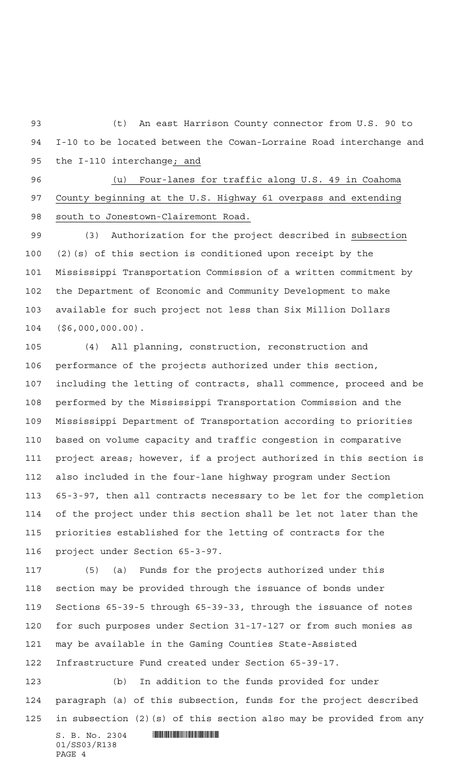(t) An east Harrison County connector from U.S. 90 to I-10 to be located between the Cowan-Lorraine Road interchange and the I-110 interchange; and

 (u) Four-lanes for traffic along U.S. 49 in Coahoma County beginning at the U.S. Highway 61 overpass and extending south to Jonestown-Clairemont Road.

 (3) Authorization for the project described in subsection (2)(s) of this section is conditioned upon receipt by the Mississippi Transportation Commission of a written commitment by the Department of Economic and Community Development to make available for such project not less than Six Million Dollars (\$6,000,000.00).

 (4) All planning, construction, reconstruction and performance of the projects authorized under this section, including the letting of contracts, shall commence, proceed and be performed by the Mississippi Transportation Commission and the Mississippi Department of Transportation according to priorities based on volume capacity and traffic congestion in comparative project areas; however, if a project authorized in this section is also included in the four-lane highway program under Section 65-3-97, then all contracts necessary to be let for the completion of the project under this section shall be let not later than the priorities established for the letting of contracts for the project under Section 65-3-97.

 (5) (a) Funds for the projects authorized under this section may be provided through the issuance of bonds under Sections 65-39-5 through 65-39-33, through the issuance of notes for such purposes under Section 31-17-127 or from such monies as may be available in the Gaming Counties State-Assisted Infrastructure Fund created under Section 65-39-17.

 (b) In addition to the funds provided for under paragraph (a) of this subsection, funds for the project described in subsection (2)(s) of this section also may be provided from any

 $S. B. No. 2304$  . Will be a set of the set of  $S. B. No. 2304$ 01/SS03/R138 PAGE 4